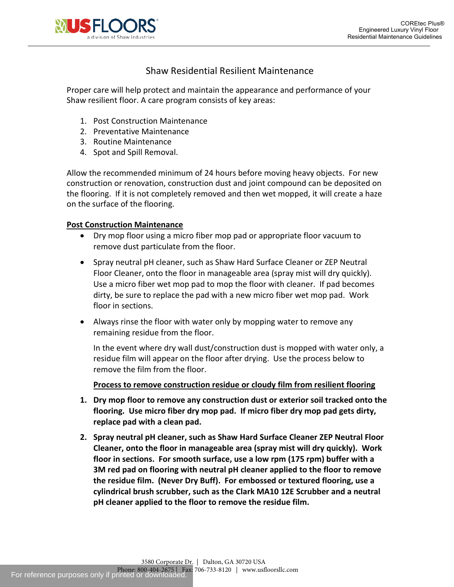

# Shaw Residential Resilient Maintenance

Proper care will help protect and maintain the appearance and performance of your Shaw resilient floor. A care program consists of key areas:

- 1. Post Construction Maintenance
- 2. Preventative Maintenance
- 3. Routine Maintenance
- 4. Spot and Spill Removal.

Allow the recommended minimum of 24 hours before moving heavy objects. For new construction or renovation, construction dust and joint compound can be deposited on the flooring. If it is not completely removed and then wet mopped, it will create a haze on the surface of the flooring.

## **Post Construction Maintenance**

- Dry mop floor using a micro fiber mop pad or appropriate floor vacuum to remove dust particulate from the floor.
- Spray neutral pH cleaner, such as Shaw Hard Surface Cleaner or ZEP Neutral Floor Cleaner, onto the floor in manageable area (spray mist will dry quickly). Use a micro fiber wet mop pad to mop the floor with cleaner. If pad becomes dirty, be sure to replace the pad with a new micro fiber wet mop pad. Work floor in sections.
- Always rinse the floor with water only by mopping water to remove any remaining residue from the floor.

In the event where dry wall dust/construction dust is mopped with water only, a residue film will appear on the floor after drying. Use the process below to remove the film from the floor.

## **Process to remove construction residue or cloudy film from resilient flooring**

- **1. Dry mop floor to remove any construction dust or exterior soil tracked onto the flooring. Use micro fiber dry mop pad. If micro fiber dry mop pad gets dirty, replace pad with a clean pad.**
- **2. Spray neutral pH cleaner, such as Shaw Hard Surface Cleaner ZEP Neutral Floor Cleaner, onto the floor in manageable area (spray mist will dry quickly). Work floor in sections. For smooth surface, use a low rpm (175 rpm) buffer with a 3M red pad on flooring with neutral pH cleaner applied to the floor to remove the residue film. (Never Dry Buff). For embossed or textured flooring, use a cylindrical brush scrubber, such as the Clark MA10 12E Scrubber and a neutral pH cleaner applied to the floor to remove the residue film.**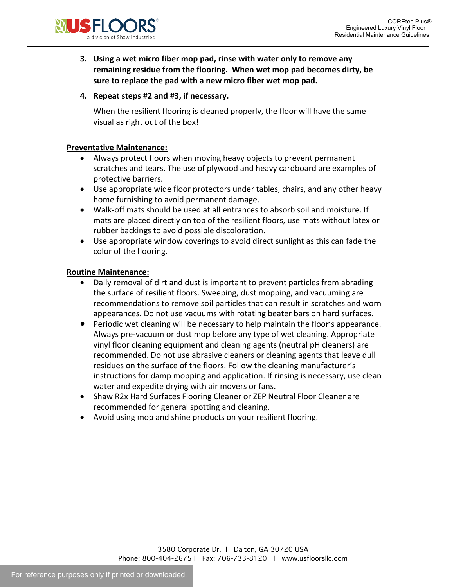

**3. Using a wet micro fiber mop pad, rinse with water only to remove any remaining residue from the flooring. When wet mop pad becomes dirty, be sure to replace the pad with a new micro fiber wet mop pad.**

## **4. Repeat steps #2 and #3, if necessary.**

When the resilient flooring is cleaned properly, the floor will have the same visual as right out of the box!

#### **Preventative Maintenance:**

- Always protect floors when moving heavy objects to prevent permanent scratches and tears. The use of plywood and heavy cardboard are examples of protective barriers.
- Use appropriate wide floor protectors under tables, chairs, and any other heavy home furnishing to avoid permanent damage.
- Walk-off mats should be used at all entrances to absorb soil and moisture. If mats are placed directly on top of the resilient floors, use mats without latex or rubber backings to avoid possible discoloration.
- Use appropriate window coverings to avoid direct sunlight as this can fade the color of the flooring.

#### **Routine Maintenance:**

- Daily removal of dirt and dust is important to prevent particles from abrading the surface of resilient floors. Sweeping, dust mopping, and vacuuming are recommendations to remove soil particles that can result in scratches and worn appearances. Do not use vacuums with rotating beater bars on hard surfaces.
- Periodic wet cleaning will be necessary to help maintain the floor's appearance. Always pre-vacuum or dust mop before any type of wet cleaning. Appropriate vinyl floor cleaning equipment and cleaning agents (neutral pH cleaners) are recommended. Do not use abrasive cleaners or cleaning agents that leave dull residues on the surface of the floors. Follow the cleaning manufacturer's instructions for damp mopping and application. If rinsing is necessary, use clean water and expedite drying with air movers or fans.
- Shaw R2x Hard Surfaces Flooring Cleaner or ZEP Neutral Floor Cleaner are recommended for general spotting and cleaning.
- Avoid using mop and shine products on your resilient flooring.